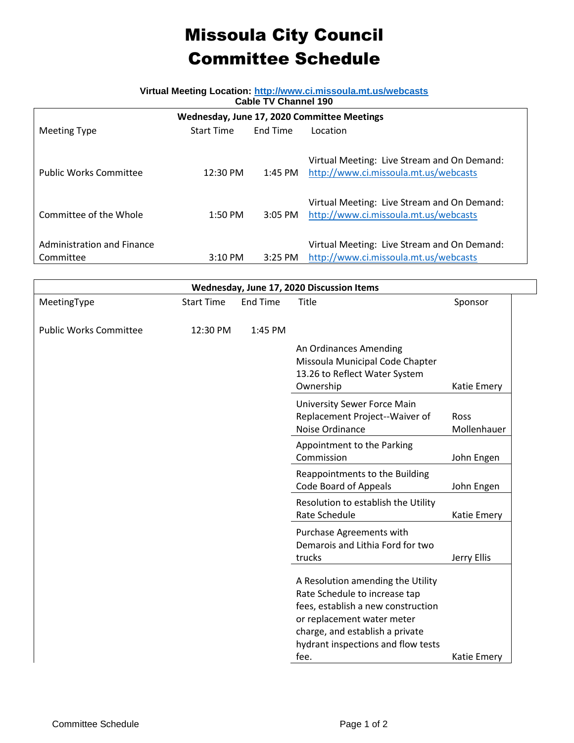## Missoula City Council Committee Schedule

## **Virtual Meeting Location:<http://www.ci.missoula.mt.us/webcasts>**

| <b>Cable TV Channel 190</b>                 |                   |           |                                             |  |  |  |  |
|---------------------------------------------|-------------------|-----------|---------------------------------------------|--|--|--|--|
| Wednesday, June 17, 2020 Committee Meetings |                   |           |                                             |  |  |  |  |
| Meeting Type                                | <b>Start Time</b> | End Time  | Location                                    |  |  |  |  |
|                                             |                   |           |                                             |  |  |  |  |
|                                             |                   |           | Virtual Meeting: Live Stream and On Demand: |  |  |  |  |
| <b>Public Works Committee</b>               | 12:30 PM          | 1:45 PM   | http://www.ci.missoula.mt.us/webcasts       |  |  |  |  |
|                                             |                   |           |                                             |  |  |  |  |
|                                             |                   |           | Virtual Meeting: Live Stream and On Demand: |  |  |  |  |
| Committee of the Whole                      | $1:50$ PM         | $3:05$ PM | http://www.ci.missoula.mt.us/webcasts       |  |  |  |  |
|                                             |                   |           |                                             |  |  |  |  |
| Administration and Finance                  |                   |           | Virtual Meeting: Live Stream and On Demand: |  |  |  |  |
| Committee                                   | $3:10$ PM         | $3:25$ PM | http://www.ci.missoula.mt.us/webcasts       |  |  |  |  |

| Wednesday, June 17, 2020 Discussion Items |                   |                 |                                                                                                          |                            |  |  |  |  |
|-------------------------------------------|-------------------|-----------------|----------------------------------------------------------------------------------------------------------|----------------------------|--|--|--|--|
| MeetingType                               | <b>Start Time</b> | <b>End Time</b> | <b>Title</b>                                                                                             | Sponsor                    |  |  |  |  |
| <b>Public Works Committee</b>             | 12:30 PM          | 1:45 PM         |                                                                                                          |                            |  |  |  |  |
|                                           |                   |                 | An Ordinances Amending<br>Missoula Municipal Code Chapter<br>13.26 to Reflect Water System<br>Ownership  | Katie Emery                |  |  |  |  |
|                                           |                   |                 | <b>University Sewer Force Main</b><br>Replacement Project--Waiver of<br>Noise Ordinance                  | <b>Ross</b><br>Mollenhauer |  |  |  |  |
|                                           |                   |                 | Appointment to the Parking<br>Commission                                                                 | John Engen                 |  |  |  |  |
|                                           |                   |                 | Reappointments to the Building<br><b>Code Board of Appeals</b>                                           | John Engen                 |  |  |  |  |
|                                           |                   |                 | Resolution to establish the Utility<br>Rate Schedule                                                     | Katie Emery                |  |  |  |  |
|                                           |                   |                 | Purchase Agreements with<br>Demarois and Lithia Ford for two<br>trucks                                   | Jerry Ellis                |  |  |  |  |
|                                           |                   |                 | A Resolution amending the Utility<br>Rate Schedule to increase tap<br>fees, establish a new construction |                            |  |  |  |  |
|                                           |                   |                 | or replacement water meter<br>charge, and establish a private<br>hydrant inspections and flow tests      |                            |  |  |  |  |
|                                           |                   |                 | fee.                                                                                                     | Katie Emery                |  |  |  |  |